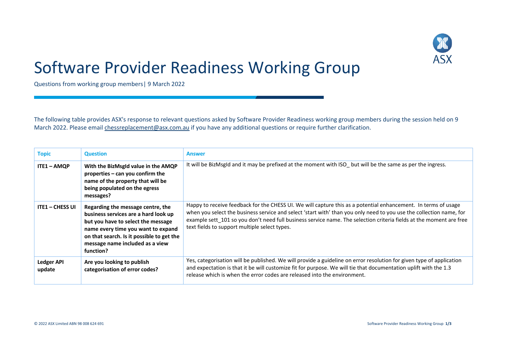

## Software Provider Readiness Working Group

Questions from working group members| 9 March 2022

The following table provides ASX's response to relevant questions asked by Software Provider Readiness working group members during the session held on 9 March 2022. Please email [chessreplacement@asx.com.au](mailto:chessreplacement@asx.com.au) if you have any additional questions or require further clarification.

| <b>Topic</b>                | <b>Question</b>                                                                                                                                                                                                                                    | <b>Answer</b>                                                                                                                                                                                                                                                                                                                                                                                                 |
|-----------------------------|----------------------------------------------------------------------------------------------------------------------------------------------------------------------------------------------------------------------------------------------------|---------------------------------------------------------------------------------------------------------------------------------------------------------------------------------------------------------------------------------------------------------------------------------------------------------------------------------------------------------------------------------------------------------------|
| $ITE1 - AMQP$               | With the BizMsgld value in the AMQP<br>properties - can you confirm the<br>name of the property that will be<br>being populated on the egress<br>messages?                                                                                         | It will be BizMsgId and it may be prefixed at the moment with ISO_ but will be the same as per the ingress.                                                                                                                                                                                                                                                                                                   |
| <b>ITE1 - CHESS UI</b>      | Regarding the message centre, the<br>business services are a hard look up<br>but you have to select the message<br>name every time you want to expand<br>on that search. Is it possible to get the<br>message name included as a view<br>function? | Happy to receive feedback for the CHESS UI. We will capture this as a potential enhancement. In terms of usage<br>when you select the business service and select 'start with' than you only need to you use the collection name, for<br>example sett 101 so you don't need full business service name. The selection criteria fields at the moment are free<br>text fields to support multiple select types. |
| <b>Ledger API</b><br>update | Are you looking to publish<br>categorisation of error codes?                                                                                                                                                                                       | Yes, categorisation will be published. We will provide a guideline on error resolution for given type of application<br>and expectation is that it be will customize fit for purpose. We will tie that documentation uplift with the 1.3<br>release which is when the error codes are released into the environment.                                                                                          |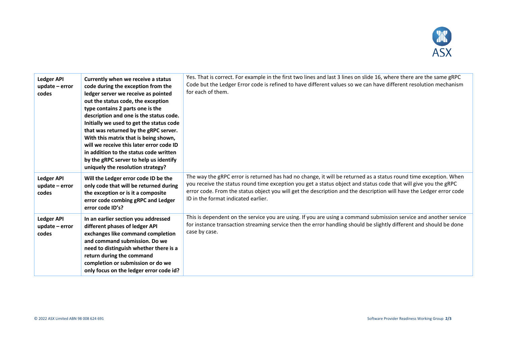

| <b>Ledger API</b><br>$update - error$<br>codes | Currently when we receive a status<br>code during the exception from the<br>ledger server we receive as pointed<br>out the status code, the exception<br>type contains 2 parts one is the<br>description and one is the status code.<br>Initially we used to get the status code<br>that was returned by the gRPC server.<br>With this matrix that is being shown,<br>will we receive this later error code ID<br>in addition to the status code written<br>by the gRPC server to help us identify<br>uniquely the resolution strategy? | Yes. That is correct. For example in the first two lines and last 3 lines on slide 16, where there are the same gRPC<br>Code but the Ledger Error code is refined to have different values so we can have different resolution mechanism<br>for each of them.                                                                                                                                     |
|------------------------------------------------|-----------------------------------------------------------------------------------------------------------------------------------------------------------------------------------------------------------------------------------------------------------------------------------------------------------------------------------------------------------------------------------------------------------------------------------------------------------------------------------------------------------------------------------------|---------------------------------------------------------------------------------------------------------------------------------------------------------------------------------------------------------------------------------------------------------------------------------------------------------------------------------------------------------------------------------------------------|
| <b>Ledger API</b><br>update - error<br>codes   | Will the Ledger error code ID be the<br>only code that will be returned during<br>the exception or is it a composite<br>error code combing gRPC and Ledger<br>error code ID's?                                                                                                                                                                                                                                                                                                                                                          | The way the gRPC error is returned has had no change, it will be returned as a status round time exception. When<br>you receive the status round time exception you get a status object and status code that will give you the gRPC<br>error code. From the status object you will get the description and the description will have the Ledger error code<br>ID in the format indicated earlier. |
| <b>Ledger API</b><br>update - error<br>codes   | In an earlier section you addressed<br>different phases of ledger API<br>exchanges like command completion<br>and command submission. Do we<br>need to distinguish whether there is a<br>return during the command<br>completion or submission or do we<br>only focus on the ledger error code id?                                                                                                                                                                                                                                      | This is dependent on the service you are using. If you are using a command submission service and another service<br>for instance transaction streaming service then the error handling should be slightly different and should be done<br>case by case.                                                                                                                                          |